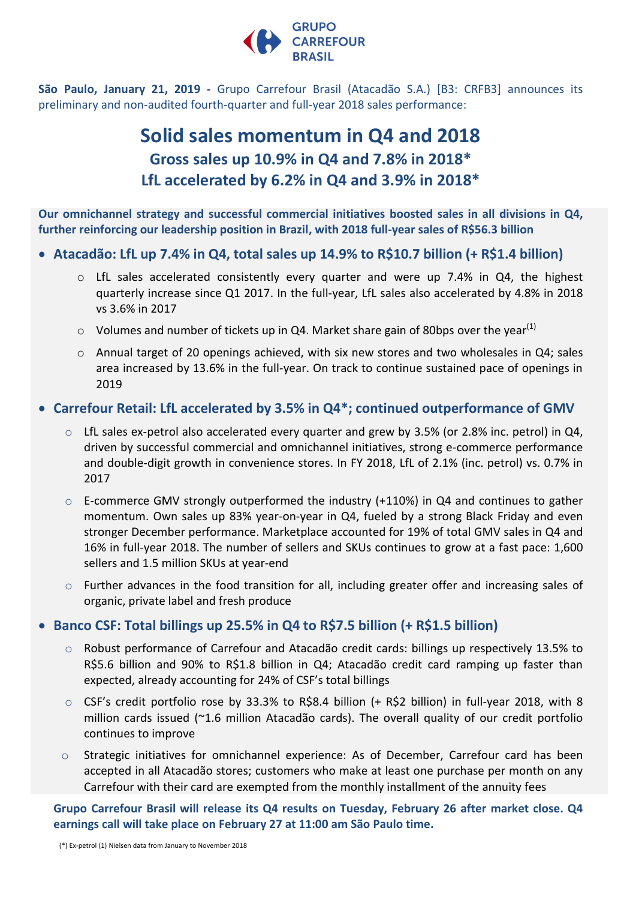

**São Paulo, January 21, 2019 -** Grupo Carrefour Brasil (Atacadão S.A.) [B3: CRFB3] announces its preliminary and non-audited fourth-quarter and full-year 2018 sales performance:

# **Solid sales momentum in Q4 and 2018 Gross sales up 10.9% in Q4 and 7.8% in 2018\* LfL accelerated by 6.2% in Q4 and 3.9% in 2018\***

**Our omnichannel strategy and successful commercial initiatives boosted sales in all divisions in Q4, further reinforcing our leadership position in Brazil, with 2018 full-year sales of R\$56.3 billion**

## **Atacadão: LfL up 7.4% in Q4, total sales up 14.9% to R\$10.7 billion (+ R\$1.4 billion)**

- o LfL sales accelerated consistently every quarter and were up 7.4% in Q4, the highest quarterly increase since Q1 2017. In the full-year, LfL sales also accelerated by 4.8% in 2018 vs 3.6% in 2017
- $\circ$  Volumes and number of tickets up in Q4. Market share gain of 80bps over the year<sup>(1)</sup>
- $\circ$  Annual target of 20 openings achieved, with six new stores and two wholesales in Q4; sales area increased by 13.6% in the full-year. On track to continue sustained pace of openings in 2019

### **Carrefour Retail: LfL accelerated by 3.5% in Q4\*; continued outperformance of GMV**

- $\circ$  LfL sales ex-petrol also accelerated every quarter and grew by 3.5% (or 2.8% inc. petrol) in Q4, driven by successful commercial and omnichannel initiatives, strong e-commerce performance and double-digit growth in convenience stores. In FY 2018, LfL of 2.1% (inc. petrol) vs. 0.7% in 2017
- $\circ$  E-commerce GMV strongly outperformed the industry (+110%) in Q4 and continues to gather momentum. Own sales up 83% year-on-year in Q4, fueled by a strong Black Friday and even stronger December performance. Marketplace accounted for 19% of total GMV sales in Q4 and 16% in full-year 2018. The number of sellers and SKUs continues to grow at a fast pace: 1,600 sellers and 1.5 million SKUs at year-end
- o Further advances in the food transition for all, including greater offer and increasing sales of organic, private label and fresh produce

## **Banco CSF: Total billings up 25.5% in Q4 to R\$7.5 billion (+ R\$1.5 billion)**

- o Robust performance of Carrefour and Atacadão credit cards: billings up respectively 13.5% to R\$5.6 billion and 90% to R\$1.8 billion in Q4; Atacadão credit card ramping up faster than expected, already accounting for 24% of CSF's total billings
- $\circ$  CSF's credit portfolio rose by 33.3% to R\$8.4 billion (+ R\$2 billion) in full-year 2018, with 8 million cards issued (~1.6 million Atacadão cards). The overall quality of our credit portfolio continues to improve
- $\circ$  Strategic initiatives for omnichannel experience: As of December, Carrefour card has been accepted in all Atacadão stores; customers who make at least one purchase per month on any Carrefour with their card are exempted from the monthly installment of the annuity fees

**Grupo Carrefour Brasil will release its Q4 results on Tuesday, February 26 after market close. Q4 earnings call will take place on February 27 at 11:00 am São Paulo time.**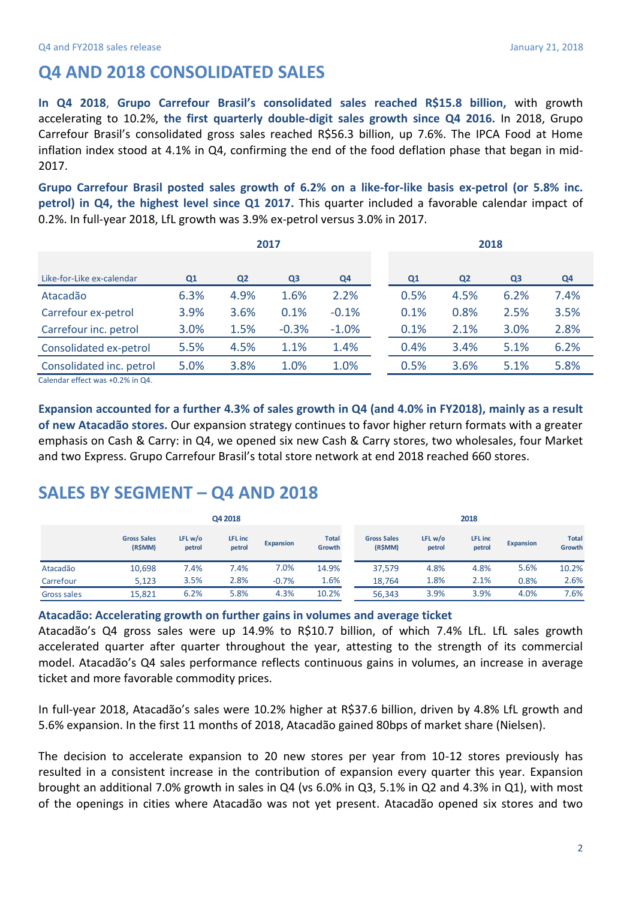# **Q4 AND 2018 CONSOLIDATED SALES**

**In Q4 2018**, **Grupo Carrefour Brasil's consolidated sales reached R\$15.8 billion,** with growth accelerating to 10.2%, **the first quarterly double-digit sales growth since Q4 2016.** In 2018, Grupo Carrefour Brasil's consolidated gross sales reached R\$56.3 billion, up 7.6%. The IPCA Food at Home inflation index stood at 4.1% in Q4, confirming the end of the food deflation phase that began in mid-2017.

**Grupo Carrefour Brasil posted sales growth of 6.2% on a like-for-like basis ex-petrol (or 5.8% inc. petrol) in Q4, the highest level since Q1 2017.** This quarter included a favorable calendar impact of 0.2%. In full-year 2018, LfL growth was 3.9% ex-petrol versus 3.0% in 2017.

|                           | 2017 |                |                | 2018    |      |                |                |      |
|---------------------------|------|----------------|----------------|---------|------|----------------|----------------|------|
|                           |      |                |                |         |      |                |                |      |
| Like-for-Like ex-calendar | Q1   | Q <sub>2</sub> | Q <sub>3</sub> | Q4      | Q1   | Q <sub>2</sub> | Q <sub>3</sub> | Q4   |
| Atacadão                  | 6.3% | 4.9%           | 1.6%           | 2.2%    | 0.5% | 4.5%           | 6.2%           | 7.4% |
| Carrefour ex-petrol       | 3.9% | 3.6%           | 0.1%           | $-0.1%$ | 0.1% | 0.8%           | 2.5%           | 3.5% |
| Carrefour inc. petrol     | 3.0% | 1.5%           | $-0.3%$        | $-1.0%$ | 0.1% | 2.1%           | 3.0%           | 2.8% |
| Consolidated ex-petrol    | 5.5% | 4.5%           | 1.1%           | 1.4%    | 0.4% | 3.4%           | 5.1%           | 6.2% |
| Consolidated inc. petrol  | 5.0% | 3.8%           | 1.0%           | 1.0%    | 0.5% | 3.6%           | 5.1%           | 5.8% |

Calendar effect was +0.2% in Q4.

**Expansion accounted for a further 4.3% of sales growth in Q4 (and 4.0% in FY2018), mainly as a result of new Atacadão stores.** Our expansion strategy continues to favor higher return formats with a greater emphasis on Cash & Carry: in Q4, we opened six new Cash & Carry stores, two wholesales, four Market and two Express. Grupo Carrefour Brasil's total store network at end 2018 reached 660 stores.

# **SALES BY SEGMENT – Q4 AND 2018**

|             | Q4 2018                       |                     |                          |           | 2018                   |                               |                   |                   |                  |                        |
|-------------|-------------------------------|---------------------|--------------------------|-----------|------------------------|-------------------------------|-------------------|-------------------|------------------|------------------------|
|             | <b>Gross Sales</b><br>(R\$MM) | LFL $w/o$<br>petrol | <b>LFL</b> inc<br>petrol | Expansion | <b>Total</b><br>Growth | <b>Gross Sales</b><br>(R\$MM) | LFL w/o<br>petrol | LFL inc<br>petrol | <b>Expansion</b> | <b>Total</b><br>Growth |
| Atacadão    | 10,698                        | 7.4%                | .4%                      | 7.0%      | 14.9%                  | 37.579                        | 4.8%              | 4.8%              | 5.6%             | 10.2%                  |
| Carrefour   | 5.123                         | 3.5%                | 2.8%                     | $-0.7%$   | 1.6%                   | 18,764                        | 1.8%              | 2.1%              | 0.8%             | 2.6%                   |
| Gross sales | 15,821                        | 6.2%                | 5.8%                     | 4.3%      | 10.2%                  | 56.343                        | 3.9%              | 3.9%              | 4.0%             | 7.6%                   |

#### **Atacadão: Accelerating growth on further gains in volumes and average ticket**

Atacadão's Q4 gross sales were up 14.9% to R\$10.7 billion, of which 7.4% LfL. LfL sales growth accelerated quarter after quarter throughout the year, attesting to the strength of its commercial model. Atacadão's Q4 sales performance reflects continuous gains in volumes, an increase in average ticket and more favorable commodity prices.

In full-year 2018, Atacadão's sales were 10.2% higher at R\$37.6 billion, driven by 4.8% LfL growth and 5.6% expansion. In the first 11 months of 2018, Atacadão gained 80bps of market share (Nielsen).

The decision to accelerate expansion to 20 new stores per year from 10-12 stores previously has resulted in a consistent increase in the contribution of expansion every quarter this year. Expansion brought an additional 7.0% growth in sales in Q4 (vs 6.0% in Q3, 5.1% in Q2 and 4.3% in Q1), with most of the openings in cities where Atacadão was not yet present. Atacadão opened six stores and two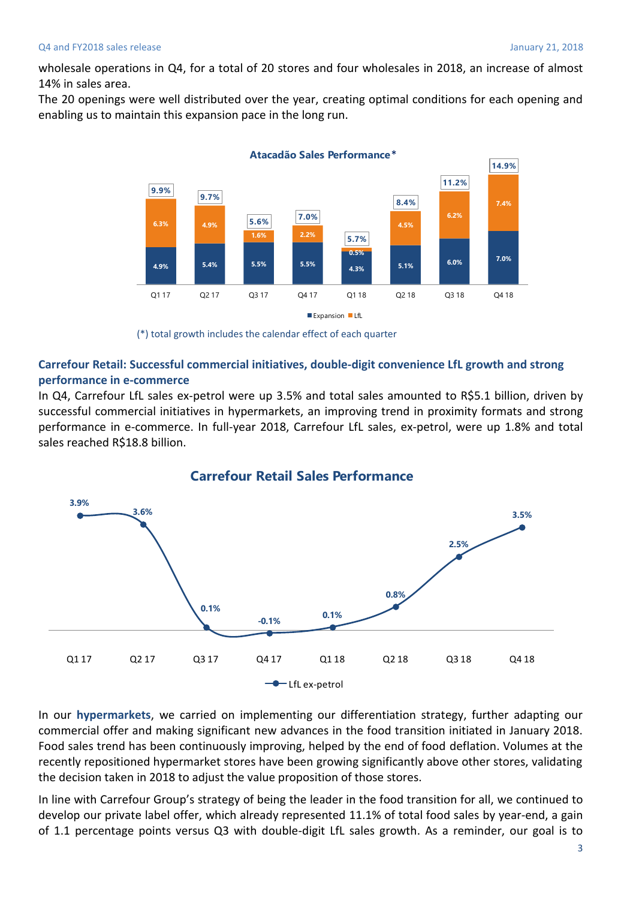wholesale operations in Q4, for a total of 20 stores and four wholesales in 2018, an increase of almost 14% in sales area.

The 20 openings were well distributed over the year, creating optimal conditions for each opening and enabling us to maintain this expansion pace in the long run.



<sup>(\*)</sup> total growth includes the calendar effect of each quarter

#### **Carrefour Retail: Successful commercial initiatives, double-digit convenience LfL growth and strong performance in e-commerce**

In Q4, Carrefour LfL sales ex-petrol were up 3.5% and total sales amounted to R\$5.1 billion, driven by successful commercial initiatives in hypermarkets, an improving trend in proximity formats and strong performance in e-commerce. In full-year 2018, Carrefour LfL sales, ex-petrol, were up 1.8% and total sales reached R\$18.8 billion.



### In our **hypermarkets**, we carried on implementing our differentiation strategy, further adapting our commercial offer and making significant new advances in the food transition initiated in January 2018. Food sales trend has been continuously improving, helped by the end of food deflation. Volumes at the recently repositioned hypermarket stores have been growing significantly above other stores, validating the decision taken in 2018 to adjust the value proposition of those stores.

In line with Carrefour Group's strategy of being the leader in the food transition for all, we continued to develop our private label offer, which already represented 11.1% of total food sales by year-end, a gain of 1.1 percentage points versus Q3 with double-digit LfL sales growth. As a reminder, our goal is to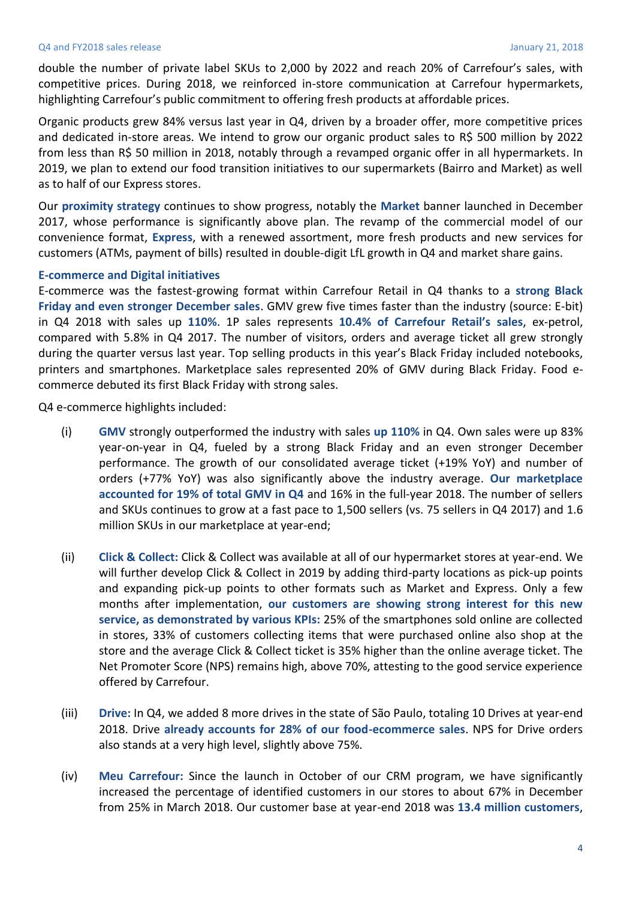#### Q4 and FY2018 sales release January 21, 2018

double the number of private label SKUs to 2,000 by 2022 and reach 20% of Carrefour's sales, with competitive prices. During 2018, we reinforced in-store communication at Carrefour hypermarkets, highlighting Carrefour's public commitment to offering fresh products at affordable prices.

Organic products grew 84% versus last year in Q4, driven by a broader offer, more competitive prices and dedicated in-store areas. We intend to grow our organic product sales to R\$ 500 million by 2022 from less than R\$ 50 million in 2018, notably through a revamped organic offer in all hypermarkets. In 2019, we plan to extend our food transition initiatives to our supermarkets (Bairro and Market) as well as to half of our Express stores.

Our **proximity strategy** continues to show progress, notably the **Market** banner launched in December 2017, whose performance is significantly above plan. The revamp of the commercial model of our convenience format, **Express**, with a renewed assortment, more fresh products and new services for customers (ATMs, payment of bills) resulted in double-digit LfL growth in Q4 and market share gains.

#### **E-commerce and Digital initiatives**

E-commerce was the fastest-growing format within Carrefour Retail in Q4 thanks to a **strong Black Friday and even stronger December sales**. GMV grew five times faster than the industry (source: E-bit) in Q4 2018 with sales up **110%**. 1P sales represents **10.4% of Carrefour Retail's sales**, ex-petrol, compared with 5.8% in Q4 2017. The number of visitors, orders and average ticket all grew strongly during the quarter versus last year. Top selling products in this year's Black Friday included notebooks, printers and smartphones. Marketplace sales represented 20% of GMV during Black Friday. Food ecommerce debuted its first Black Friday with strong sales.

Q4 e-commerce highlights included:

- (i) **GMV** strongly outperformed the industry with sales **up 110%** in Q4. Own sales were up 83% year-on-year in Q4, fueled by a strong Black Friday and an even stronger December performance. The growth of our consolidated average ticket (+19% YoY) and number of orders (+77% YoY) was also significantly above the industry average. **Our marketplace accounted for 19% of total GMV in Q4** and 16% in the full-year 2018. The number of sellers and SKUs continues to grow at a fast pace to 1,500 sellers (vs. 75 sellers in Q4 2017) and 1.6 million SKUs in our marketplace at year-end;
- (ii) **Click & Collect:** Click & Collect was available at all of our hypermarket stores at year-end. We will further develop Click & Collect in 2019 by adding third-party locations as pick-up points and expanding pick-up points to other formats such as Market and Express. Only a few months after implementation, **our customers are showing strong interest for this new service, as demonstrated by various KPIs:** 25% of the smartphones sold online are collected in stores, 33% of customers collecting items that were purchased online also shop at the store and the average Click & Collect ticket is 35% higher than the online average ticket. The Net Promoter Score (NPS) remains high, above 70%, attesting to the good service experience offered by Carrefour.
- (iii) **Drive:** In Q4, we added 8 more drives in the state of São Paulo, totaling 10 Drives at year-end 2018. Drive **already accounts for 28% of our food-ecommerce sales**. NPS for Drive orders also stands at a very high level, slightly above 75%.
- (iv) **Meu Carrefour:** Since the launch in October of our CRM program, we have significantly increased the percentage of identified customers in our stores to about 67% in December from 25% in March 2018. Our customer base at year-end 2018 was **13.4 million customers**,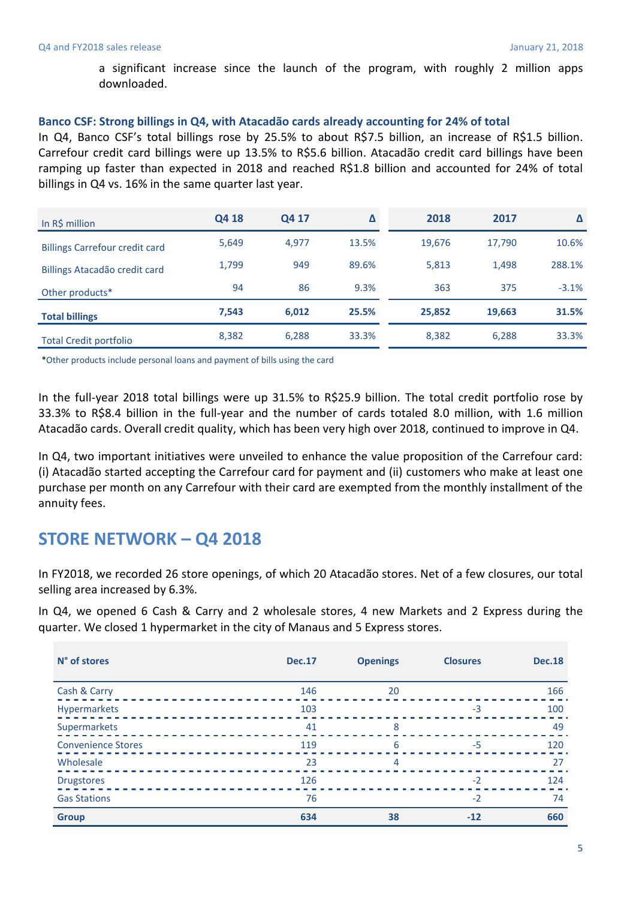a significant increase since the launch of the program, with roughly 2 million apps downloaded.

#### **Banco CSF: Strong billings in Q4, with Atacadão cards already accounting for 24% of total**

In Q4, Banco CSF's total billings rose by 25.5% to about R\$7.5 billion, an increase of R\$1.5 billion. Carrefour credit card billings were up 13.5% to R\$5.6 billion. Atacadão credit card billings have been ramping up faster than expected in 2018 and reached R\$1.8 billion and accounted for 24% of total billings in Q4 vs. 16% in the same quarter last year.

| In R\$ million                        | Q4 18 | Q4 17 | Δ     | 2018   | 2017   | Δ       |
|---------------------------------------|-------|-------|-------|--------|--------|---------|
| <b>Billings Carrefour credit card</b> | 5,649 | 4,977 | 13.5% | 19,676 | 17,790 | 10.6%   |
| Billings Atacadão credit card         | 1.799 | 949   | 89.6% | 5,813  | 1.498  | 288.1%  |
| Other products*                       | 94    | 86    | 9.3%  | 363    | 375    | $-3.1%$ |
| <b>Total billings</b>                 | 7,543 | 6,012 | 25.5% | 25,852 | 19,663 | 31.5%   |
| <b>Total Credit portfolio</b>         | 8,382 | 6,288 | 33.3% | 8,382  | 6,288  | 33.3%   |

\*Other products include personal loans and payment of bills using the card

In the full-year 2018 total billings were up 31.5% to R\$25.9 billion. The total credit portfolio rose by 33.3% to R\$8.4 billion in the full-year and the number of cards totaled 8.0 million, with 1.6 million Atacadão cards. Overall credit quality, which has been very high over 2018, continued to improve in Q4.

In Q4, two important initiatives were unveiled to enhance the value proposition of the Carrefour card: (i) Atacadão started accepting the Carrefour card for payment and (ii) customers who make at least one purchase per month on any Carrefour with their card are exempted from the monthly installment of the annuity fees.

## **STORE NETWORK – Q4 2018**

In FY2018, we recorded 26 store openings, of which 20 Atacadão stores. Net of a few closures, our total selling area increased by 6.3%.

In Q4, we opened 6 Cash & Carry and 2 wholesale stores, 4 new Markets and 2 Express during the quarter. We closed 1 hypermarket in the city of Manaus and 5 Express stores.

| N° of stores              | <b>Dec.17</b> | <b>Openings</b> | <b>Closures</b> | <b>Dec.18</b> |
|---------------------------|---------------|-----------------|-----------------|---------------|
| Cash & Carry              | 146           | 20              |                 | 166           |
| Hypermarkets              | 103           |                 | $-3$            | 100           |
| Supermarkets              | 41            | 8               |                 | 49            |
| <b>Convenience Stores</b> | 119           | 6               | $-5$            | 120           |
| Wholesale                 | 23            | 4               |                 | 27            |
| <b>Drugstores</b>         | 126           |                 | $-2$            | 124           |
| <b>Gas Stations</b>       | 76            |                 | $-2$            | 74            |
| <b>Group</b>              | 634           | 38              | $-12$           | 660           |